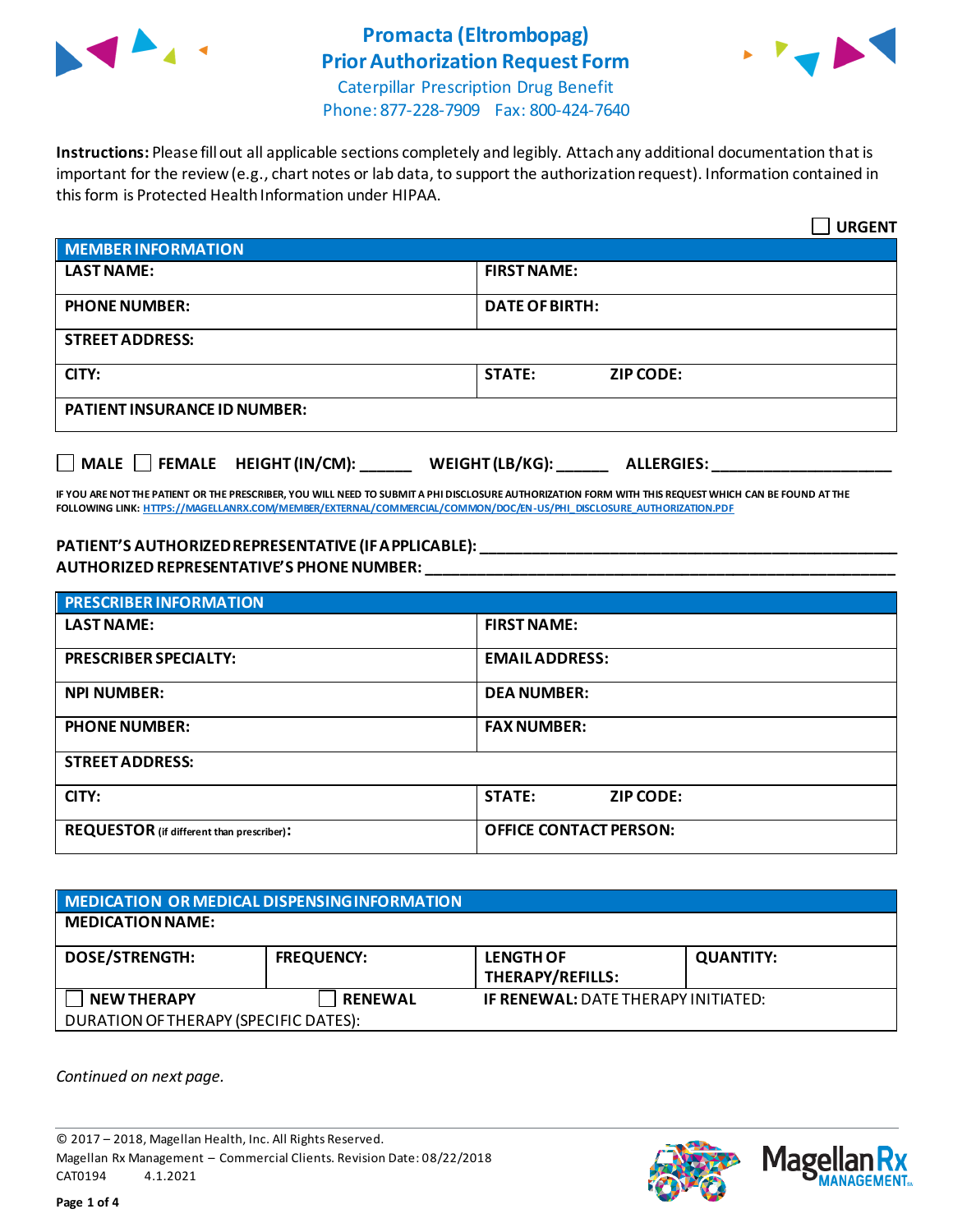

# **Promacta (Eltrombopag) Prior Authorization Request Form**



Caterpillar Prescription Drug Benefit Phone: 877-228-7909 Fax: 800-424-7640

**Instructions:** Please fill out all applicable sections completely and legibly. Attach any additional documentation that is important for the review (e.g., chart notes or lab data, to support the authorization request). Information contained in this form is Protected Health Information under HIPAA.

|                                                  | <b>URGENT</b>                             |  |
|--------------------------------------------------|-------------------------------------------|--|
| <b>MEMBER INFORMATION</b>                        |                                           |  |
| <b>LAST NAME:</b>                                | <b>FIRST NAME:</b>                        |  |
| <b>PHONE NUMBER:</b>                             | <b>DATE OF BIRTH:</b>                     |  |
| <b>STREET ADDRESS:</b>                           |                                           |  |
| CITY:                                            | <b>STATE:</b><br><b>ZIP CODE:</b>         |  |
| <b>PATIENT INSURANCE ID NUMBER:</b>              |                                           |  |
| $\Box$ MALE $\Box$ FEMALE HEIGHT (IN/CM): ______ | WEIGHT (LB/KG): $\_$<br><b>ALLERGIES:</b> |  |

**IF YOU ARE NOT THE PATIENT OR THE PRESCRIBER, YOU WILL NEED TO SUBMIT A PHI DISCLOSURE AUTHORIZATION FORM WITH THIS REQUEST WHICH CAN BE FOUND AT THE FOLLOWING LINK[: HTTPS://MAGELLANRX.COM/MEMBER/EXTERNAL/COMMERCIAL/COMMON/DOC/EN-US/PHI\\_DISCLOSURE\\_AUTHORIZATION.PDF](https://magellanrx.com/member/external/commercial/common/doc/en-us/PHI_Disclosure_Authorization.pdf)**

#### **PATIENT'S AUTHORIZED REPRESENTATIVE (IF APPLICABLE): \_\_\_\_\_\_\_\_\_\_\_\_\_\_\_\_\_\_\_\_\_\_\_\_\_\_\_\_\_\_\_\_\_\_\_\_\_\_\_\_\_\_\_\_\_\_\_\_\_ AUTHORIZED REPRESENTATIVE'S PHONE NUMBER: \_\_\_\_\_\_\_\_\_\_\_\_\_\_\_\_\_\_\_\_\_\_\_\_\_\_\_\_\_\_\_\_\_\_\_\_\_\_\_\_\_\_\_\_\_\_\_\_\_\_\_\_\_\_\_**

| <b>PRESCRIBER INFORMATION</b>             |                               |  |
|-------------------------------------------|-------------------------------|--|
| <b>LAST NAME:</b>                         | <b>FIRST NAME:</b>            |  |
| <b>PRESCRIBER SPECIALTY:</b>              | <b>EMAIL ADDRESS:</b>         |  |
| <b>NPI NUMBER:</b>                        | <b>DEA NUMBER:</b>            |  |
| <b>PHONE NUMBER:</b>                      | <b>FAX NUMBER:</b>            |  |
| <b>STREET ADDRESS:</b>                    |                               |  |
| CITY:                                     | <b>STATE:</b><br>ZIP CODE:    |  |
| REQUESTOR (if different than prescriber): | <b>OFFICE CONTACT PERSON:</b> |  |

| MEDICATION OR MEDICAL DISPENSING INFORMATION |                   |                                            |                  |  |  |
|----------------------------------------------|-------------------|--------------------------------------------|------------------|--|--|
| <b>MEDICATION NAME:</b>                      |                   |                                            |                  |  |  |
| <b>DOSE/STRENGTH:</b>                        | <b>FREQUENCY:</b> | <b>LENGTH OF</b><br>THERAPY/REFILLS:       | <b>QUANTITY:</b> |  |  |
| <b>NEW THERAPY</b>                           | <b>RENEWAL</b>    | <b>IF RENEWAL: DATE THERAPY INITIATED:</b> |                  |  |  |
| DURATION OF THERAPY (SPECIFIC DATES):        |                   |                                            |                  |  |  |

*Continued on next page.*

© 2017 – 2018, Magellan Health, Inc. All Rights Reserved. Magellan Rx Management – Commercial Clients. Revision Date: 08/22/2018 CAT0194 4.1.2021



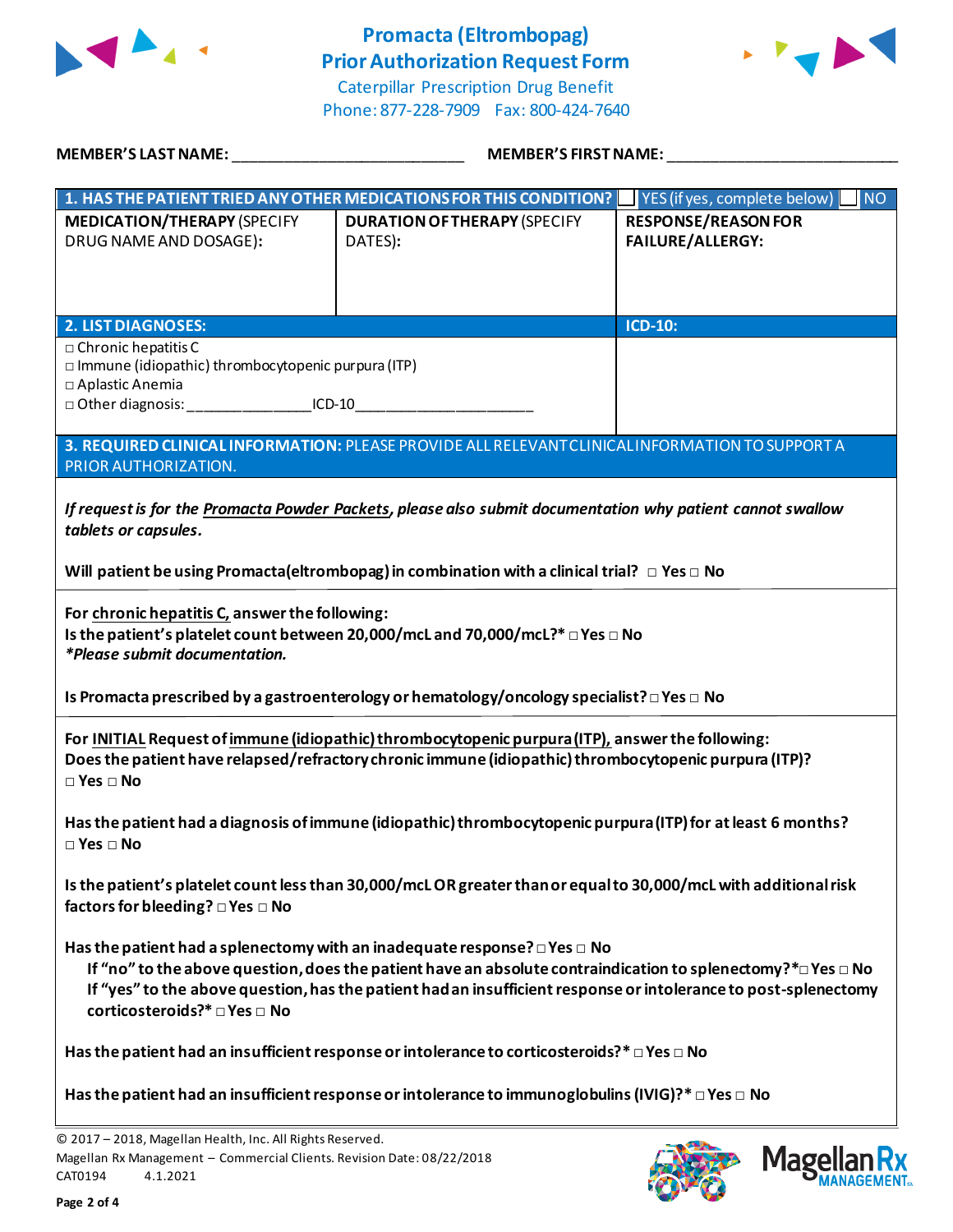

## **Promacta (Eltrombopag) Prior Authorization Request Form**



Caterpillar Prescription Drug Benefit Phone: 877-228-7909 Fax: 800-424-7640

| MEMBER'S LAST NAME: THE STATE OF THE STATE OF THE STATE OF THE STATE OF THE STATE OF THE STATE OF THE STATE OF                                                                                                                                                                                                                                                                   | <b>MEMBER'S FIRST NAME:</b>                                                                     |                                                          |  |  |
|----------------------------------------------------------------------------------------------------------------------------------------------------------------------------------------------------------------------------------------------------------------------------------------------------------------------------------------------------------------------------------|-------------------------------------------------------------------------------------------------|----------------------------------------------------------|--|--|
|                                                                                                                                                                                                                                                                                                                                                                                  | 1. HAS THE PATIENT TRIED ANY OTHER MEDICATIONS FOR THIS CONDITION?                              | <b>NO</b><br>$\blacksquare$ YES (if yes, complete below) |  |  |
| <b>MEDICATION/THERAPY (SPECIFY</b><br>DRUG NAME AND DOSAGE):                                                                                                                                                                                                                                                                                                                     | <b>DURATION OF THERAPY (SPECIFY</b><br>DATES):                                                  | <b>RESPONSE/REASON FOR</b><br><b>FAILURE/ALLERGY:</b>    |  |  |
| <b>2. LIST DIAGNOSES:</b>                                                                                                                                                                                                                                                                                                                                                        |                                                                                                 | <b>ICD-10:</b>                                           |  |  |
| $\Box$ Chronic hepatitis C<br>$\square$ Immune (idiopathic) thrombocytopenic purpura (ITP)<br>□ Aplastic Anemia<br>□ Other diagnosis: ____________________ICD-10____                                                                                                                                                                                                             |                                                                                                 |                                                          |  |  |
| PRIOR AUTHORIZATION.                                                                                                                                                                                                                                                                                                                                                             | 3. REQUIRED CLINICAL INFORMATION: PLEASE PROVIDE ALL RELEVANT CLINICAL INFORMATION TO SUPPORT A |                                                          |  |  |
| If request is for the Promacta Powder Packets, please also submit documentation why patient cannot swallow<br>tablets or capsules.<br>Will patient be using Promacta (eltrombopag) in combination with a clinical trial? $\Box$ Yes $\Box$ No                                                                                                                                    |                                                                                                 |                                                          |  |  |
|                                                                                                                                                                                                                                                                                                                                                                                  |                                                                                                 |                                                          |  |  |
| For chronic hepatitis C, answer the following:<br>Is the patient's platelet count between 20,000/mcL and 70,000/mcL?* □ Yes □ No<br><i>*Please submit documentation.</i>                                                                                                                                                                                                         |                                                                                                 |                                                          |  |  |
| Is Promacta prescribed by a gastroenterology or hematology/oncology specialist? $\Box$ Yes $\Box$ No                                                                                                                                                                                                                                                                             |                                                                                                 |                                                          |  |  |
| For INITIAL Request of immune (idiopathic) thrombocytopenic purpura (ITP), answer the following:<br>Does the patient have relapsed/refractory chronic immune (idiopathic) thrombocytopenic purpura (ITP)?<br>$\square$ Yes $\square$ No                                                                                                                                          |                                                                                                 |                                                          |  |  |
| Has the patient had a diagnosis of immune (idiopathic) thrombocytopenic purpura (ITP) for at least 6 months?<br>$\square$ Yes $\square$ No                                                                                                                                                                                                                                       |                                                                                                 |                                                          |  |  |
| Is the patient's platelet count less than 30,000/mcLOR greater than or equal to 30,000/mcL with additional risk<br>factors for bleeding? □ Yes □ No                                                                                                                                                                                                                              |                                                                                                 |                                                          |  |  |
| Has the patient had a splenectomy with an inadequate response? $\square$ Yes $\square$ No<br>If "no" to the above question, does the patient have an absolute contraindication to splenectomy? $*$ $\square$ Yes $\square$ No<br>If "yes" to the above question, has the patient had an insufficient response or intolerance to post-splenectomy<br>corticosteroids?* □ Yes □ No |                                                                                                 |                                                          |  |  |
| Has the patient had an insufficient response or intolerance to corticosteroids?* $\Box$ Yes $\Box$ No                                                                                                                                                                                                                                                                            |                                                                                                 |                                                          |  |  |
| Has the patient had an insufficient response or intolerance to immunoglobulins (IVIG)?* $\square$ Yes $\square$ No                                                                                                                                                                                                                                                               |                                                                                                 |                                                          |  |  |

© 2017 – 2018, Magellan Health, Inc. All Rights Reserved. Magellan Rx Management – Commercial Clients. Revision Date: 08/22/2018 CAT0194 4.1.2021

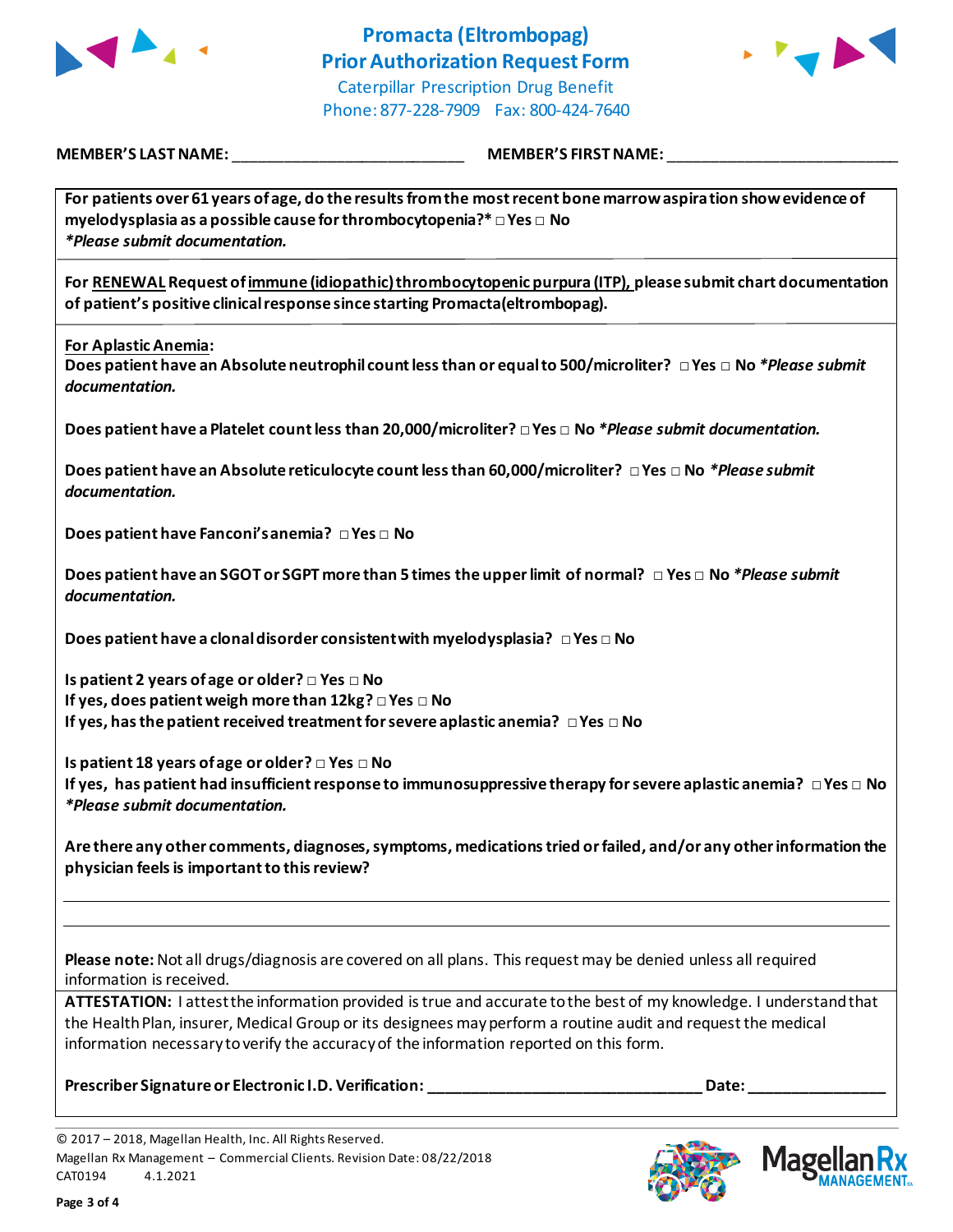

### **Promacta (Eltrombopag) Prior Authorization Request Form** Caterpillar Prescription Drug Benefit

Phone: 877-228-7909 Fax: 800-424-7640



**MEMBER'S LAST NAME:** \_\_\_\_\_\_\_\_\_\_\_\_\_\_\_\_\_\_\_\_\_\_\_\_\_\_\_ **MEMBER'S FIRST NAME:** \_\_\_\_\_\_\_\_\_\_\_\_\_\_\_\_\_\_\_\_\_\_\_\_\_\_\_

**For patients over 61 years of age, do the results from the most recent bone marrow aspiration show evidence of myelodysplasia as a possible cause for thrombocytopenia?\* □ Yes □ No** *\*Please submit documentation.* **For RENEWAL Request ofimmune (idiopathic) thrombocytopenic purpura (ITP), please submit chart documentation** 

**For Aplastic Anemia:**

**Does patient have an Absolute neutrophil count less than or equal to 500/microliter? □ Yes □ No** *\*Please submit documentation.*

**Does patient have a Platelet count less than 20,000/microliter? □ Yes □ No** *\*Please submit documentation.*

**Does patient have an Absolute reticulocyte count less than 60,000/microliter? □ Yes □ No** *\*Please submit documentation.*

**Does patient have Fanconi's anemia? □ Yes □ No**

**Does patient have an SGOT or SGPT more than 5 times the upper limit of normal? □ Yes □ No** *\*Please submit documentation.*

**Does patient have a clonal disorder consistent with myelodysplasia? □ Yes □ No**

**of patient's positive clinical response since starting Promacta(eltrombopag).**

**Is patient 2 years of age or older? □ Yes □ No If yes, does patient weigh more than 12kg? □ Yes □ No If yes, has the patient received treatment for severe aplastic anemia? □ Yes □ No**

**Is patient 18 years of age or older? □ Yes □ No If yes, has patient had insufficient response to immunosuppressive therapy for severe aplastic anemia? □ Yes □ No** *\*Please submit documentation.*

**Are there any other comments, diagnoses, symptoms, medications tried or failed, and/or any other information the physician feels is important to this review?**

**Please note:** Not all drugs/diagnosis are covered on all plans. This request may be denied unless all required information is received.

**ATTESTATION:** I attest the information provided is true and accurate to the best of my knowledge. I understand that the Health Plan, insurer, Medical Group or its designees may perform a routine audit and request the medical information necessary to verify the accuracy of the information reported on this form.

**Prescriber Signature or Electronic I.D. Verification: \_\_\_\_\_\_\_\_\_\_\_\_\_\_\_\_\_\_\_\_\_\_\_\_\_\_\_\_\_\_\_\_ Date: \_\_\_\_\_\_\_\_\_\_\_\_\_\_\_\_**

<sup>© 2017</sup> – 2018, Magellan Health, Inc. All Rights Reserved. Magellan Rx Management – Commercial Clients. Revision Date: 08/22/2018 CAT0194 4.1.2021